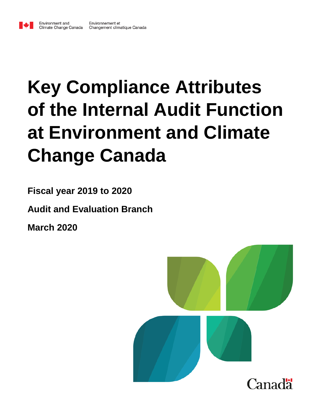

Environment and

# **Key Compliance Attributes of the Internal Audit Function at Environment and Climate Change Canada**

**Fiscal year 2019 to 2020**

**Audit and Evaluation Branch**

**March 2020**

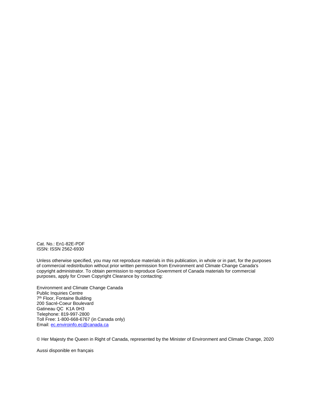Cat. No.: En1-82E-PDF ISSN: ISSN 2562-6930

Unless otherwise specified, you may not reproduce materials in this publication, in whole or in part, for the purposes of commercial redistribution without prior written permission from Environment and Climate Change Canada's copyright administrator. To obtain permission to reproduce Government of Canada materials for commercial purposes, apply for Crown Copyright Clearance by contacting:

Environment and Climate Change Canada Public Inquiries Centre 7th Floor, Fontaine Building 200 Sacré-Coeur Boulevard Gatineau QC K1A 0H3 Telephone: 819-997-2800 Toll Free: 1-800-668-6767 (in Canada only) Email[: ec.enviroinfo.ec@canada.ca](mailto:ec.enviroinfo.ec@canada.ca)

© Her Majesty the Queen in Right of Canada, represented by the Minister of Environment and Climate Change, 2020

Aussi disponible en français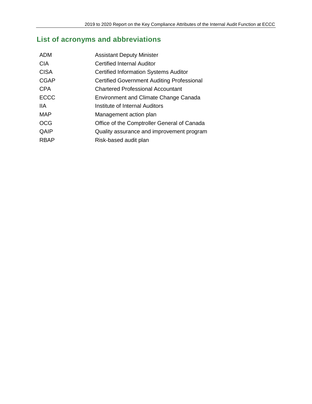## **List of acronyms and abbreviations**

| ADM         | <b>Assistant Deputy Minister</b>                  |
|-------------|---------------------------------------------------|
| <b>CIA</b>  | Certified Internal Auditor                        |
| <b>CISA</b> | <b>Certified Information Systems Auditor</b>      |
| <b>CGAP</b> | <b>Certified Government Auditing Professional</b> |
| <b>CPA</b>  | <b>Chartered Professional Accountant</b>          |
| ECCC        | Environment and Climate Change Canada             |
| 11A         | Institute of Internal Auditors                    |
| <b>MAP</b>  | Management action plan                            |
| <b>OCG</b>  | Office of the Comptroller General of Canada       |
| QAIP        | Quality assurance and improvement program         |
| <b>RBAP</b> | Risk-based audit plan                             |
|             |                                                   |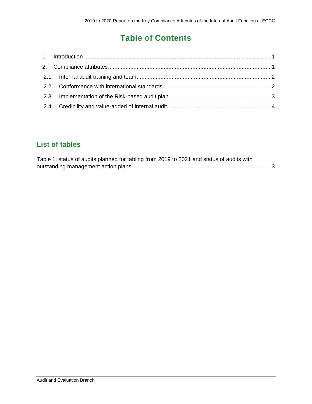# **Table of Contents**

#### **List of tables**

| Table 1: status of audits planned for tabling from 2019 to 2021 and status of audits with |  |
|-------------------------------------------------------------------------------------------|--|
|                                                                                           |  |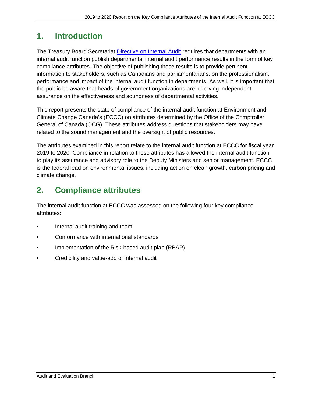# <span id="page-4-0"></span>**1. Introduction**

The Treasury Board Secretariat [Directive on Internal Audit](https://www.tbs-sct.gc.ca/pol/doc-eng.aspx?id=32533) requires that departments with an internal audit function publish departmental internal audit performance results in the form of key compliance attributes. The objective of publishing these results is to provide pertinent information to stakeholders, such as Canadians and parliamentarians, on the professionalism, performance and impact of the internal audit function in departments. As well, it is important that the public be aware that heads of government organizations are receiving independent assurance on the effectiveness and soundness of departmental activities.

This report presents the state of compliance of the internal audit function at Environment and Climate Change Canada's (ECCC) on attributes determined by the Office of the Comptroller General of Canada (OCG). These attributes address questions that stakeholders may have related to the sound management and the oversight of public resources.

The attributes examined in this report relate to the internal audit function at ECCC for fiscal year 2019 to 2020. Compliance in relation to these attributes has allowed the internal audit function to play its assurance and advisory role to the Deputy Ministers and senior management. ECCC is the federal lead on environmental issues, including action on clean growth, carbon pricing and climate change.

# <span id="page-4-1"></span>**2. Compliance attributes**

The internal audit function at ECCC was assessed on the following four key compliance attributes:

- Internal audit training and team
- Conformance with international standards
- Implementation of the Risk-based audit plan (RBAP)
- Credibility and value-add of internal audit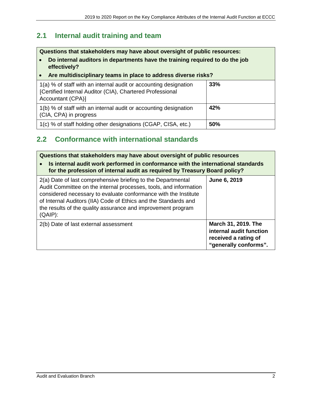#### <span id="page-5-0"></span>**2.1 Internal audit training and team**

**Questions that stakeholders may have about oversight of public resources:**

- **Do internal auditors in departments have the training required to do the job effectively?**
- **Are multidisciplinary teams in place to address diverse risks?**

| 1(a) % of staff with an internal audit or accounting designation<br>[Certified Internal Auditor (CIA), Chartered Professional<br>Accountant (CPA)] | 33%        |
|----------------------------------------------------------------------------------------------------------------------------------------------------|------------|
| 1(b) % of staff with an internal audit or accounting designation<br>CIA, CPA) in progress                                                          | 42%        |
| 1(c) % of staff holding other designations (CGAP, CISA, etc.)                                                                                      | <b>50%</b> |

#### <span id="page-5-1"></span>**2.2 Conformance with international standards**

| Questions that stakeholders may have about oversight of public resources<br>Is internal audit work performed in conformance with the international standards<br>for the profession of internal audit as required by Treasury Board policy?                                                                                                            |                                                                                                 |  |  |  |
|-------------------------------------------------------------------------------------------------------------------------------------------------------------------------------------------------------------------------------------------------------------------------------------------------------------------------------------------------------|-------------------------------------------------------------------------------------------------|--|--|--|
| 2(a) Date of last comprehensive briefing to the Departmental<br>Audit Committee on the internal processes, tools, and information<br>considered necessary to evaluate conformance with the Institute<br>of Internal Auditors (IIA) Code of Ethics and the Standards and<br>the results of the quality assurance and improvement program<br>$(QAIP)$ : | June 6, 2019                                                                                    |  |  |  |
| 2(b) Date of last external assessment                                                                                                                                                                                                                                                                                                                 | March 31, 2019. The<br>internal audit function<br>received a rating of<br>"generally conforms". |  |  |  |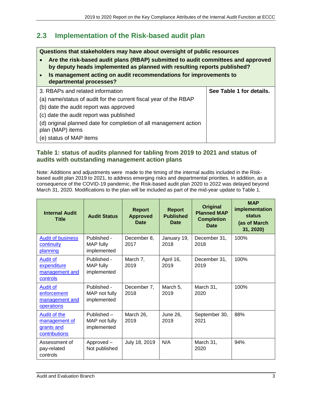### <span id="page-6-0"></span>**2.3 Implementation of the Risk-based audit plan**

**Questions that stakeholders may have about oversight of public resources**

- **Are the risk-based audit plans (RBAP) submitted to audit committees and approved by deputy heads implemented as planned with resulting reports published?**
- **Is management acting on audit recommendations for improvements to departmental processes?**

| 3. RBAPs and related information                                  | See Table 1 for details. |
|-------------------------------------------------------------------|--------------------------|
| (a) name/status of audit for the current fiscal year of the RBAP  |                          |
| (b) date the audit report was approved                            |                          |
| (c) date the audit report was published                           |                          |
| (d) original planned date for completion of all management action |                          |
| plan (MAP) items                                                  |                          |
| (e) status of MAP items                                           |                          |
|                                                                   |                          |

#### <span id="page-6-1"></span>**Table 1: status of audits planned for tabling from 2019 to 2021 and status of audits with outstanding management action plans**

Note: Additions and adjustments were made to the timing of the internal audits included in the Riskbased audit plan 2019 to 2021, to address emerging risks and departmental priorities. In addition, as a consequence of the COVID-19 pandemic, the Risk-based audit plan 2020 to 2022 was delayed beyond March 31, 2020. Modifications to the plan will be included as part of the mid-year update to Table 1.

| <b>Internal Audit</b><br><b>Title</b>                          | <b>Audit Status</b>                         | <b>Report</b><br><b>Approved</b><br>Date | <b>Report</b><br><b>Published</b><br>Date | <b>Original</b><br><b>Planned MAP</b><br><b>Completion</b><br>Date | <b>MAP</b><br>implementation<br><b>status</b><br>(as of March<br>31, 2020) |
|----------------------------------------------------------------|---------------------------------------------|------------------------------------------|-------------------------------------------|--------------------------------------------------------------------|----------------------------------------------------------------------------|
| <b>Audit of business</b><br>continuity<br>planning             | Published -<br>MAP fully<br>implemented     | December 8,<br>2017                      | January 19,<br>2018                       | December 31,<br>2018                                               | 100%                                                                       |
| <b>Audit of</b><br>expenditure<br>management and<br>controls   | Published -<br>MAP fully<br>implemented     | March 7,<br>2019                         | April 16,<br>2019                         | December 31,<br>2019                                               | 100%                                                                       |
| <b>Audit of</b><br>enforcement<br>management and<br>operations | Published -<br>MAP not fully<br>implemented | December 7,<br>2018                      | March 5,<br>2019                          | March 31,<br>2020                                                  | 100%                                                                       |
| Audit of the<br>management of<br>grants and<br>contributions   | Published -<br>MAP not fully<br>implemented | March 26,<br>2019                        | <b>June 26,</b><br>2019                   | September 30,<br>2021                                              | 88%                                                                        |
| Assessment of<br>pay-related<br>controls                       | Approved-<br>Not published                  | July 18, 2019                            | N/A                                       | March 31,<br>2020                                                  | 94%                                                                        |